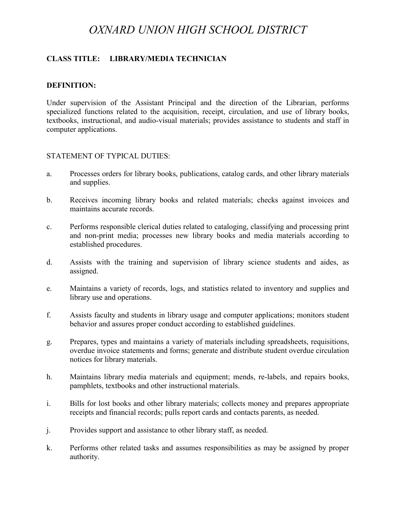# *OXNARD UNION HIGH SCHOOL DISTRICT*

# **CLASS TITLE: LIBRARY/MEDIA TECHNICIAN**

#### **DEFINITION:**

Under supervision of the Assistant Principal and the direction of the Librarian, performs specialized functions related to the acquisition, receipt, circulation, and use of library books, textbooks, instructional, and audio-visual materials; provides assistance to students and staff in computer applications.

#### STATEMENT OF TYPICAL DUTIES:

- a. Processes orders for library books, publications, catalog cards, and other library materials and supplies.
- b. Receives incoming library books and related materials; checks against invoices and maintains accurate records.
- c. Performs responsible clerical duties related to cataloging, classifying and processing print and non-print media; processes new library books and media materials according to established procedures.
- d. Assists with the training and supervision of library science students and aides, as assigned.
- e. Maintains a variety of records, logs, and statistics related to inventory and supplies and library use and operations.
- f. Assists faculty and students in library usage and computer applications; monitors student behavior and assures proper conduct according to established guidelines.
- g. Prepares, types and maintains a variety of materials including spreadsheets, requisitions, overdue invoice statements and forms; generate and distribute student overdue circulation notices for library materials.
- h. Maintains library media materials and equipment; mends, re-labels, and repairs books, pamphlets, textbooks and other instructional materials.
- i. Bills for lost books and other library materials; collects money and prepares appropriate receipts and financial records; pulls report cards and contacts parents, as needed.
- j. Provides support and assistance to other library staff, as needed.
- k. Performs other related tasks and assumes responsibilities as may be assigned by proper authority.